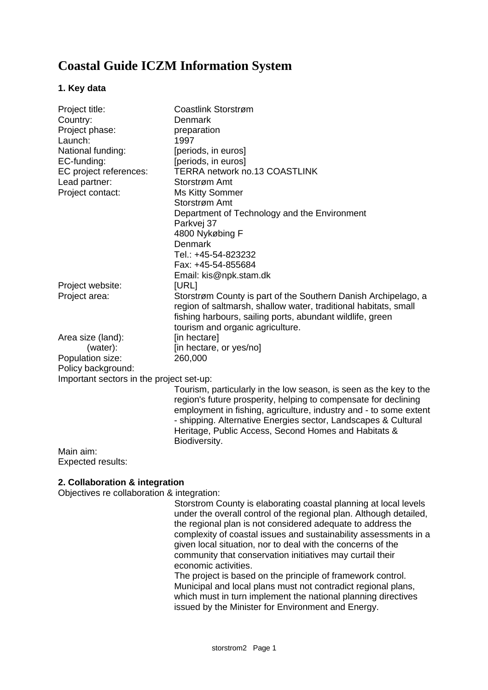# **Coastal Guide ICZM Information System**

### **1. Key data**

| Project title:                           | Coastlink Storstrøm                                                |
|------------------------------------------|--------------------------------------------------------------------|
| Country:                                 | Denmark                                                            |
| Project phase:                           | preparation                                                        |
| Launch:                                  | 1997                                                               |
| National funding:                        | [periods, in euros]                                                |
| EC-funding:                              | [periods, in euros]                                                |
| EC project references:                   | TERRA network no.13 COASTLINK                                      |
| Lead partner:                            | Storstrøm Amt                                                      |
| Project contact:                         | <b>Ms Kitty Sommer</b>                                             |
|                                          | Storstrøm Amt                                                      |
|                                          | Department of Technology and the Environment                       |
|                                          | Parkvej 37                                                         |
|                                          | 4800 Nykøbing F                                                    |
|                                          | Denmark                                                            |
|                                          | Tel.: +45-54-823232                                                |
|                                          | Fax: +45-54-855684                                                 |
|                                          | Email: kis@npk.stam.dk                                             |
| Project website:                         | [URL]                                                              |
| Project area:                            | Storstrøm County is part of the Southern Danish Archipelago, a     |
|                                          | region of saltmarsh, shallow water, traditional habitats, small    |
|                                          | fishing harbours, sailing ports, abundant wildlife, green          |
|                                          | tourism and organic agriculture.                                   |
| Area size (land):                        | [in hectare]                                                       |
| (water):                                 | [in hectare, or yes/no]                                            |
| Population size:                         | 260,000                                                            |
| Policy background:                       |                                                                    |
| Important sectors in the project set-up: |                                                                    |
|                                          | Tourism, particularly in the low season, is seen as the key to the |
|                                          | region's future prosperity, helping to compensate for declining    |
|                                          | employment in fishing, agriculture, industry and - to some extent  |
|                                          | - shipping. Alternative Energies sector, Landscapes & Cultural     |
|                                          | Heritage, Public Access, Second Homes and Habitats &               |
|                                          | Biodiversity.                                                      |
| Main aim:                                |                                                                    |

Expected results:

# **2. Collaboration & integration**

Objectives re collaboration & integration:

Storstrom County is elaborating coastal planning at local levels under the overall control of the regional plan. Although detailed, the regional plan is not considered adequate to address the complexity of coastal issues and sustainability assessments in a given local situation, nor to deal with the concerns of the community that conservation initiatives may curtail their economic activities.

The project is based on the principle of framework control. Municipal and local plans must not contradict regional plans, which must in turn implement the national planning directives issued by the Minister for Environment and Energy.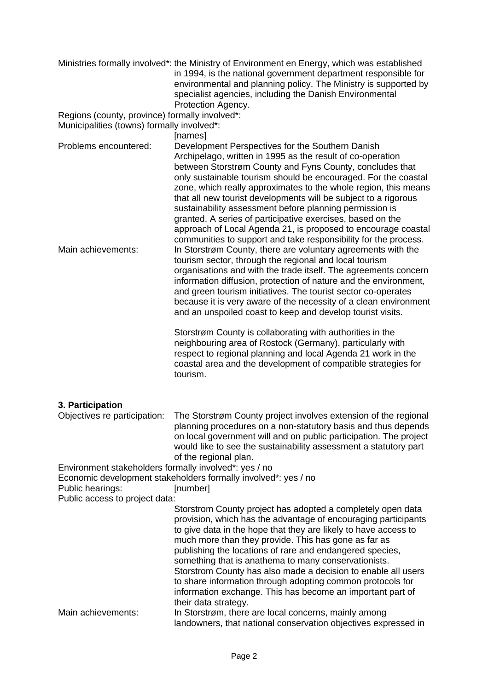|                                                                                                             | Ministries formally involved*: the Ministry of Environment en Energy, which was established<br>in 1994, is the national government department responsible for<br>environmental and planning policy. The Ministry is supported by<br>specialist agencies, including the Danish Environmental<br>Protection Agency.                                                                                                                                                                                                                                                                                                                               |
|-------------------------------------------------------------------------------------------------------------|-------------------------------------------------------------------------------------------------------------------------------------------------------------------------------------------------------------------------------------------------------------------------------------------------------------------------------------------------------------------------------------------------------------------------------------------------------------------------------------------------------------------------------------------------------------------------------------------------------------------------------------------------|
| Regions (county, province) formally involved*:<br>Municipalities (towns) formally involved*:                | [names]                                                                                                                                                                                                                                                                                                                                                                                                                                                                                                                                                                                                                                         |
| Problems encountered:                                                                                       | Development Perspectives for the Southern Danish<br>Archipelago, written in 1995 as the result of co-operation<br>between Storstrøm County and Fyns County, concludes that<br>only sustainable tourism should be encouraged. For the coastal<br>zone, which really approximates to the whole region, this means<br>that all new tourist developments will be subject to a rigorous<br>sustainability assessment before planning permission is<br>granted. A series of participative exercises, based on the<br>approach of Local Agenda 21, is proposed to encourage coastal<br>communities to support and take responsibility for the process. |
| Main achievements:                                                                                          | In Storstrøm County, there are voluntary agreements with the<br>tourism sector, through the regional and local tourism<br>organisations and with the trade itself. The agreements concern<br>information diffusion, protection of nature and the environment,<br>and green tourism initiatives. The tourist sector co-operates<br>because it is very aware of the necessity of a clean environment<br>and an unspoiled coast to keep and develop tourist visits.                                                                                                                                                                                |
|                                                                                                             | Storstrøm County is collaborating with authorities in the<br>neighbouring area of Rostock (Germany), particularly with<br>respect to regional planning and local Agenda 21 work in the<br>coastal area and the development of compatible strategies for<br>tourism.                                                                                                                                                                                                                                                                                                                                                                             |
| 3. Participation<br>Objectives re participation:                                                            | The Storstrøm County project involves extension of the regional<br>planning procedures on a non-statutory basis and thus depends<br>on local government will and on public participation. The project<br>would like to see the sustainability assessment a statutory part<br>of the regional plan.                                                                                                                                                                                                                                                                                                                                              |
| Environment stakeholders formally involved*: yes / no<br>Public hearings:<br>Public access to project data: | Economic development stakeholders formally involved*: yes / no<br>[number]                                                                                                                                                                                                                                                                                                                                                                                                                                                                                                                                                                      |
|                                                                                                             | Storstrom County project has adopted a completely open data<br>provision, which has the advantage of encouraging participants<br>to give data in the hope that they are likely to have access to<br>much more than they provide. This has gone as far as<br>publishing the locations of rare and endangered species,<br>something that is anathema to many conservationists.<br>Storstrom County has also made a decision to enable all users<br>to share information through adopting common protocols for<br>information exchange. This has become an important part of<br>their data strategy.                                               |
| Main achievements:                                                                                          | In Storstrøm, there are local concerns, mainly among<br>landowners, that national conservation objectives expressed in                                                                                                                                                                                                                                                                                                                                                                                                                                                                                                                          |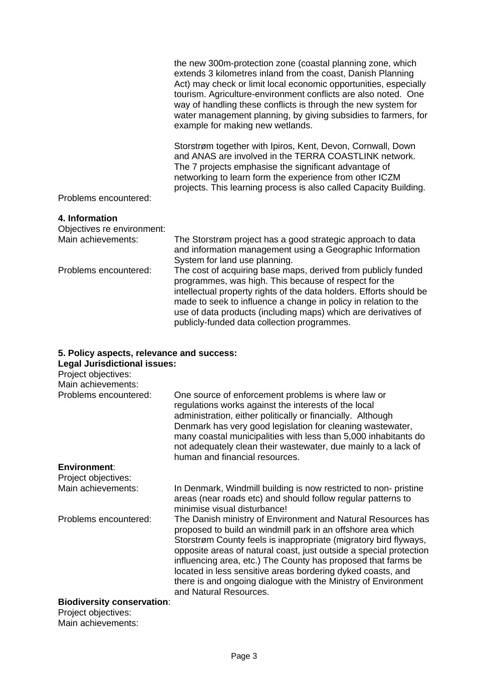|                       | the new 300m-protection zone (coastal planning zone, which<br>extends 3 kilometres inland from the coast, Danish Planning<br>Act) may check or limit local economic opportunities, especially<br>tourism. Agriculture-environment conflicts are also noted. One<br>way of handling these conflicts is through the new system for<br>water management planning, by giving subsidies to farmers, for<br>example for making new wetlands. |
|-----------------------|----------------------------------------------------------------------------------------------------------------------------------------------------------------------------------------------------------------------------------------------------------------------------------------------------------------------------------------------------------------------------------------------------------------------------------------|
| Problems encountered: | Storstrøm together with Ipiros, Kent, Devon, Cornwall, Down<br>and ANAS are involved in the TERRA COASTLINK network.<br>The 7 projects emphasise the significant advantage of<br>networking to learn form the experience from other ICZM<br>projects. This learning process is also called Capacity Building.                                                                                                                          |

### **4. Information**

| Objectives re environment: |                                                                                                                                                                                                                                                                                                                                                                                   |
|----------------------------|-----------------------------------------------------------------------------------------------------------------------------------------------------------------------------------------------------------------------------------------------------------------------------------------------------------------------------------------------------------------------------------|
| Main achievements:         | The Storstrøm project has a good strategic approach to data<br>and information management using a Geographic Information<br>System for land use planning.                                                                                                                                                                                                                         |
| Problems encountered:      | The cost of acquiring base maps, derived from publicly funded<br>programmes, was high. This because of respect for the<br>intellectual property rights of the data holders. Efforts should be<br>made to seek to influence a change in policy in relation to the<br>use of data products (including maps) which are derivatives of<br>publicly-funded data collection programmes. |

# **5. Policy aspects, relevance and success:**

| <b>Legal Jurisdictional issues:</b> |  |
|-------------------------------------|--|
|                                     |  |

| Project objectives:               |                                                                                                                                                                                                                                                                                                                                                                                                                                                                                                    |
|-----------------------------------|----------------------------------------------------------------------------------------------------------------------------------------------------------------------------------------------------------------------------------------------------------------------------------------------------------------------------------------------------------------------------------------------------------------------------------------------------------------------------------------------------|
| Main achievements:                |                                                                                                                                                                                                                                                                                                                                                                                                                                                                                                    |
| Problems encountered:             | One source of enforcement problems is where law or<br>regulations works against the interests of the local<br>administration, either politically or financially. Although<br>Denmark has very good legislation for cleaning wastewater,<br>many coastal municipalities with less than 5,000 inhabitants do<br>not adequately clean their wastewater, due mainly to a lack of<br>human and financial resources.                                                                                     |
| <b>Environment:</b>               |                                                                                                                                                                                                                                                                                                                                                                                                                                                                                                    |
| Project objectives:               |                                                                                                                                                                                                                                                                                                                                                                                                                                                                                                    |
| Main achievements:                | In Denmark, Windmill building is now restricted to non-pristine<br>areas (near roads etc) and should follow regular patterns to<br>minimise visual disturbance!                                                                                                                                                                                                                                                                                                                                    |
| Problems encountered:             | The Danish ministry of Environment and Natural Resources has<br>proposed to build an windmill park in an offshore area which<br>Storstrøm County feels is inappropriate (migratory bird flyways,<br>opposite areas of natural coast, just outside a special protection<br>influencing area, etc.) The County has proposed that farms be<br>located in less sensitive areas bordering dyked coasts, and<br>there is and ongoing dialogue with the Ministry of Environment<br>and Natural Resources. |
| <b>Biodiversity conservation:</b> |                                                                                                                                                                                                                                                                                                                                                                                                                                                                                                    |

Project objectives: Main achievements: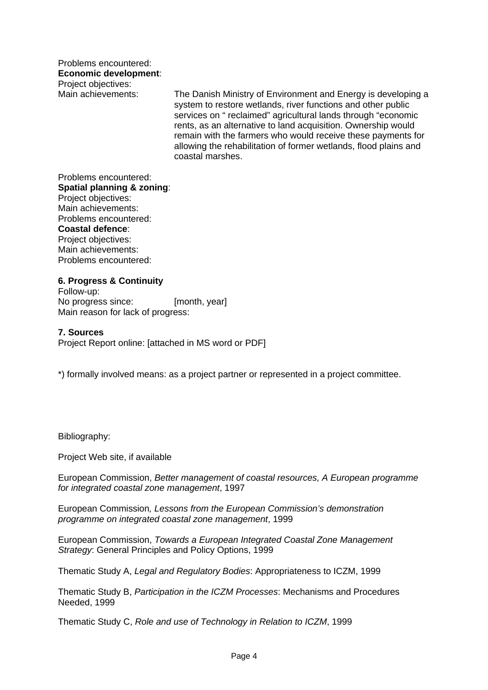Problems encountered: **Economic development**: Project objectives:

Main achievements: The Danish Ministry of Environment and Energy is developing a system to restore wetlands, river functions and other public services on " reclaimed" agricultural lands through "economic rents, as an alternative to land acquisition. Ownership would remain with the farmers who would receive these payments for allowing the rehabilitation of former wetlands, flood plains and coastal marshes.

Problems encountered: **Spatial planning & zoning**: Project objectives: Main achievements: Problems encountered: **Coastal defence**: Project objectives: Main achievements: Problems encountered:

**6. Progress & Continuity** Follow-up: No progress since: [month, year] Main reason for lack of progress:

#### **7. Sources**

Project Report online: [attached in MS word or PDF]

\*) formally involved means: as a project partner or represented in a project committee.

Bibliography:

Project Web site, if available

European Commission, *Better management of coastal resources, A European programme for integrated coastal zone management*, 1997

European Commission*, Lessons from the European Commission's demonstration programme on integrated coastal zone management*, 1999

European Commission, *Towards a European Integrated Coastal Zone Management Strategy*: General Principles and Policy Options, 1999

Thematic Study A, *Legal and Regulatory Bodies*: Appropriateness to ICZM, 1999

Thematic Study B, *Participation in the ICZM Processes*: Mechanisms and Procedures Needed, 1999

Thematic Study C, *Role and use of Technology in Relation to ICZM*, 1999